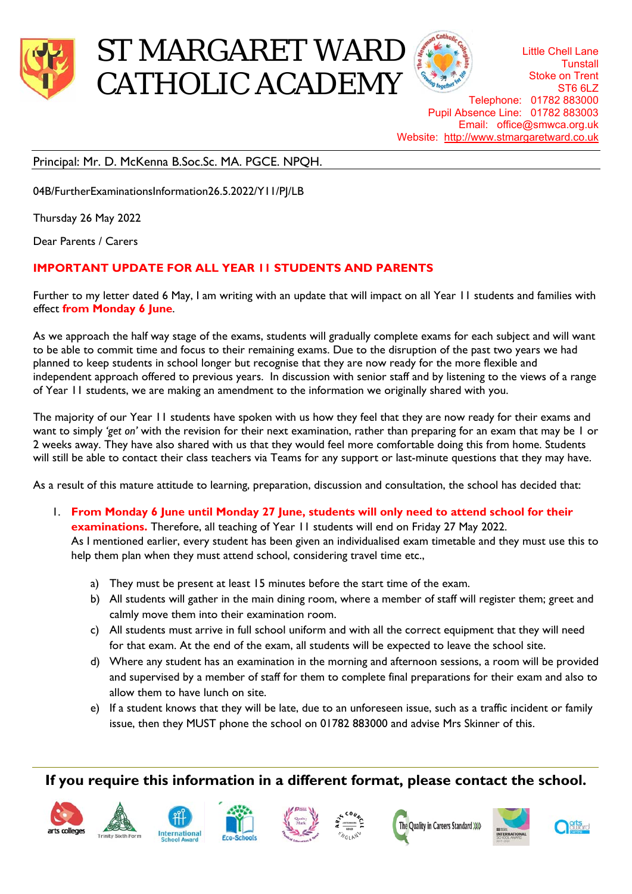

# ST MARGARET WARD CATHOLIC ACADEMY

Little Chell Lane **Tunstall** Stoke on Trent ST6 6LZ Telephone: 01782 883000 Pupil Absence Line: 01782 883003 Email: office@smwca.org.uk Website: http://www.stmargaretward.co.uk

## Principal: Mr. D. McKenna B.Soc.Sc. MA. PGCE. NPQH.

04B/FurtherExaminationsInformation26.5.2022/Y11/PJ/LB

Thursday 26 May 2022

Dear Parents / Carers

## **IMPORTANT UPDATE FOR ALL YEAR 11 STUDENTS AND PARENTS**

Further to my letter dated 6 May, I am writing with an update that will impact on all Year 11 students and families with effect **from Monday 6 June**.

As we approach the half way stage of the exams, students will gradually complete exams for each subject and will want to be able to commit time and focus to their remaining exams. Due to the disruption of the past two years we had planned to keep students in school longer but recognise that they are now ready for the more flexible and independent approach offered to previous years. In discussion with senior staff and by listening to the views of a range of Year 11 students, we are making an amendment to the information we originally shared with you.

The majority of our Year 11 students have spoken with us how they feel that they are now ready for their exams and want to simply *'get on'* with the revision for their next examination, rather than preparing for an exam that may be 1 or 2 weeks away. They have also shared with us that they would feel more comfortable doing this from home. Students will still be able to contact their class teachers via Teams for any support or last-minute questions that they may have.

As a result of this mature attitude to learning, preparation, discussion and consultation, the school has decided that:

- 1. **From Monday 6 June until Monday 27 June, students will only need to attend school for their examinations.** Therefore, all teaching of Year 11 students will end on Friday 27 May 2022. As I mentioned earlier, every student has been given an individualised exam timetable and they must use this to help them plan when they must attend school, considering travel time etc.,
	- a) They must be present at least 15 minutes before the start time of the exam.
	- b) All students will gather in the main dining room, where a member of staff will register them; greet and calmly move them into their examination room.
	- c) All students must arrive in full school uniform and with all the correct equipment that they will need for that exam. At the end of the exam, all students will be expected to leave the school site.
	- d) Where any student has an examination in the morning and afternoon sessions, a room will be provided and supervised by a member of staff for them to complete final preparations for their exam and also to allow them to have lunch on site.
	- e) If a student knows that they will be late, due to an unforeseen issue, such as a traffic incident or family issue, then they MUST phone the school on 01782 883000 and advise Mrs Skinner of this.

# **If you require this information in a different format, please contact the school.**